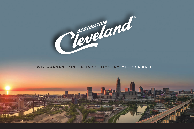

#### 2017 CONVENTION + LEISURE TOURISM METRICS REPORT

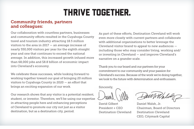## **THRIVE TOGETHER.**

#### Community friends, partners and colleagues:

Our collaboration with countless partners, businesses and community efforts resulted in the Cuyahoga County travel and tourism industry attracting 18.5 million visitors to the area in 2017 — an average increase of nearly 550,000 visitors per year for the eighth straight year and one that continues to exceed the national average. In addition, this increased growth infused more than 68,000 jobs and \$8.8 billion of economic impact into Cleveland's economy.

We celebrate these successes, while looking forward to working together toward our goal of bringing 20 million visitors to Cuyahoga County in 2020 — an effort that brings an exciting expansion of our work.

Our research shows that any visitor is a potential resident, student, or investor. Therefore, we'll be using our expertise in attracting people here and enhancing perceptions of Cleveland to promote our city not just as a visitor destination, but as a destination city, period.

As part of these efforts, Destination Cleveland will work even more closely with current partners and collaborate with additional organizations to better leverage the Cleveland visitor brand to appeal to new audiences including those who may consider living, working and/ or investing in Cleveland — and improve Cleveland's narrative on a grander scale.

Thank you to our board and our partners for your commitment to our community and your passion for Cleveland's success. Because of the work we're doing together, we look to the future with determination and enthusiasm.

Sincerely,

David Gilbert Daniel Walsh, Jr. Destination Cleveland Destination Cleveland

President + CEO Chairman, Board of Directors CEO, Citymark Capital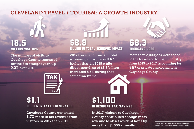#### CLEVELAND TRAVEL + TOURISM: A GROWTH INDUSTRY

## 18.5 Million Visitors

The number of visits to Cuyahoga County increased for the 8th straight year, up 2.3% over 2016.



# **\$1.1**<br>Billion in taxes generated

Cuyahoga County generated 8.7% more in tax revenue from visitors in 2017 than 2015.

## \$8.8 Billion in total Economic Impact

2017 travel and tourism total economic impact was 8.6% higher than in 2015 while direct spending of \$5.8 billion increased 8.3% during that same timeframe.

## 68.3 Thousand jobs

More than 2,000 jobs were added to the travel and tourism industry from 2015 to 2017, accounting for 8.2% of private employment in Cuyahoga County.

## \$1,100 in Resident Tax Savings

In 2017, visitors to Cuyahoga County contributed enough in tax revenue to offset resident taxes by more than \$1,000 annually.

*Source: 2017 DK Shifftlet Visitor Volume Study Source: 2017 Tourism Economic Impact Study*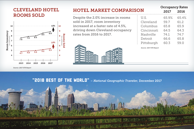#### CLEVELAND HOTEL ROOMS SOLD



*Source: 2017 STR Report*

#### HOTEL MARKET COMPARISON

Despite the 2.0% increase in rooms sold in 2017, room inventory increased at a faster rate of 4.5%, driving down Cleveland occupancy rates from 2016 to 2017.



| U.S.       | 65.9% | 65.4% |
|------------|-------|-------|
| Cleveland  | 59.7  | 61.2  |
| Columbus   | 65.8  | 65.9  |
| Cincinnati | 64.5  | 64.3  |
| Nashville  | 74.1  | 74.7  |
| Detroit    | 66.6  | 65.8  |
| Pittsburgh | 60.3  | 59.0  |
|            |       |       |

2017 2016

Occupancy Rates

*Source: 2017 STR Report*

#### "2018 Best of the World" – *National Geographic Traveler,* December 2017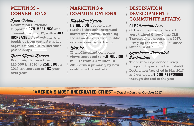#### MEETINGS + **CONVENTIONS**

## Lead Volume

Destination Cleveland supported 274 MEETINGS and conventions in 2017, with a 30% **INCREASE** in lead volume and bookings from vertical market organizations due to increased partnerships.

## Room Nights Booked

Room nights grew from 225,000 in 2016 to 252,000 in 2017, an increase of 12% year over year.

### MARKETING + COMMUNICATIONS

#### Marketing Reach 1.3 **BILLION** people were

reached through integrated marketing efforts, including social media outreach, public relations and advertising.

#### Website

ThisisCleveland.com page views increased to **4.6 MILLION** in 2017 from 4.4 million in 2016, driven primarily by new visitors to the website.

#### **DESTINATION** DEVELOPMENT + COMMUNITY AFFAIRS

## $CLE$  Travelbackers

**261** frontline hospitality staff were trained through the CLE Travelbackers program in 2017. Bringing the total to 2,860 since launch in 2013.

### Experience Dedicated Destination

The visitor experience survey program, Experience Dedicated® Destination, launched in May 2017 and generated 6,000 RESPONSES through the end of the year.

#### "America's Most Underrated Cities" – *Travel + Leisure,* October 2017